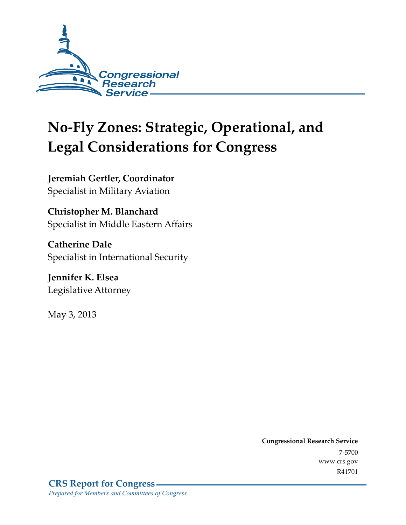

# **No-Fly Zones: Strategic, Operational, and Legal Considerations for Congress**

**Jeremiah Gertler, Coordinator**  Specialist in Military Aviation

**Christopher M. Blanchard**  Specialist in Middle Eastern Affairs

**Catherine Dale**  Specialist in International Security

**Jennifer K. Elsea**  Legislative Attorney

May 3, 2013

**Congressional Research Service**  7-5700 www.crs.gov R41701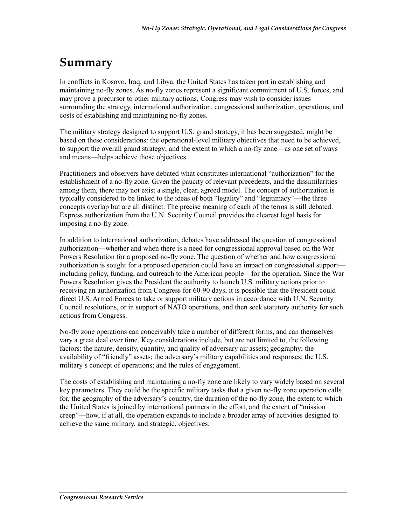## **Summary**

In conflicts in Kosovo, Iraq, and Libya, the United States has taken part in establishing and maintaining no-fly zones. As no-fly zones represent a significant commitment of U.S. forces, and may prove a precursor to other military actions, Congress may wish to consider issues surrounding the strategy, international authorization, congressional authorization, operations, and costs of establishing and maintaining no-fly zones.

The military strategy designed to support U.S. grand strategy, it has been suggested, might be based on these considerations: the operational-level military objectives that need to be achieved, to support the overall grand strategy; and the extent to which a no-fly zone—as one set of ways and means—helps achieve those objectives.

Practitioners and observers have debated what constitutes international "authorization" for the establishment of a no-fly zone. Given the paucity of relevant precedents, and the dissimilarities among them, there may not exist a single, clear, agreed model. The concept of authorization is typically considered to be linked to the ideas of both "legality" and "legitimacy"—the three concepts overlap but are all distinct. The precise meaning of each of the terms is still debated. Express authorization from the U.N. Security Council provides the clearest legal basis for imposing a no-fly zone.

In addition to international authorization, debates have addressed the question of congressional authorization—whether and when there is a need for congressional approval based on the War Powers Resolution for a proposed no-fly zone. The question of whether and how congressional authorization is sought for a proposed operation could have an impact on congressional support including policy, funding, and outreach to the American people—for the operation. Since the War Powers Resolution gives the President the authority to launch U.S. military actions prior to receiving an authorization from Congress for 60-90 days, it is possible that the President could direct U.S. Armed Forces to take or support military actions in accordance with U.N. Security Council resolutions, or in support of NATO operations, and then seek statutory authority for such actions from Congress.

No-fly zone operations can conceivably take a number of different forms, and can themselves vary a great deal over time. Key considerations include, but are not limited to, the following factors: the nature, density, quantity, and quality of adversary air assets; geography; the availability of "friendly" assets; the adversary's military capabilities and responses; the U.S. military's concept of operations; and the rules of engagement.

The costs of establishing and maintaining a no-fly zone are likely to vary widely based on several key parameters. They could be the specific military tasks that a given no-fly zone operation calls for, the geography of the adversary's country, the duration of the no-fly zone, the extent to which the United States is joined by international partners in the effort, and the extent of "mission creep"—how, if at all, the operation expands to include a broader array of activities designed to achieve the same military, and strategic, objectives.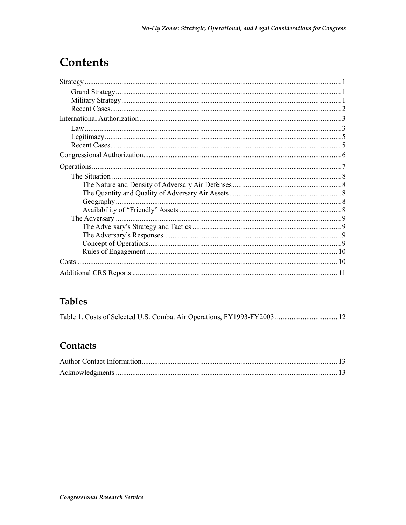## Contents

## **Tables**

| Table 1. Costs of Selected U.S. Combat Air Operations, FY1993-FY2003  12 |  |
|--------------------------------------------------------------------------|--|
|--------------------------------------------------------------------------|--|

### Contacts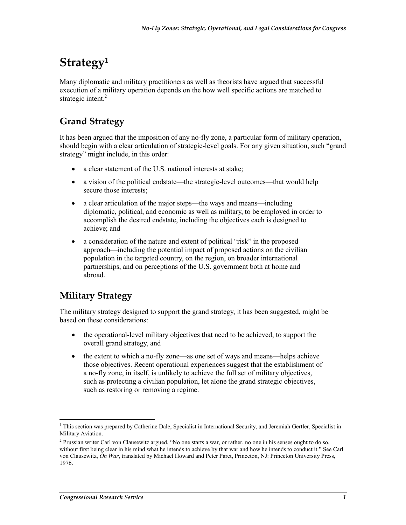## **Strategy1**

Many diplomatic and military practitioners as well as theorists have argued that successful execution of a military operation depends on the how well specific actions are matched to strategic intent. $2$ 

## **Grand Strategy**

It has been argued that the imposition of any no-fly zone, a particular form of military operation, should begin with a clear articulation of strategic-level goals. For any given situation, such "grand strategy" might include, in this order:

- a clear statement of the U.S. national interests at stake;
- a vision of the political endstate—the strategic-level outcomes—that would help secure those interests;
- a clear articulation of the major steps—the ways and means—including diplomatic, political, and economic as well as military, to be employed in order to accomplish the desired endstate, including the objectives each is designed to achieve; and
- a consideration of the nature and extent of political "risk" in the proposed approach—including the potential impact of proposed actions on the civilian population in the targeted country, on the region, on broader international partnerships, and on perceptions of the U.S. government both at home and abroad.

### **Military Strategy**

The military strategy designed to support the grand strategy, it has been suggested, might be based on these considerations:

- the operational-level military objectives that need to be achieved, to support the overall grand strategy, and
- the extent to which a no-fly zone—as one set of ways and means—helps achieve those objectives. Recent operational experiences suggest that the establishment of a no-fly zone, in itself, is unlikely to achieve the full set of military objectives, such as protecting a civilian population, let alone the grand strategic objectives, such as restoring or removing a regime.

1

<sup>&</sup>lt;sup>1</sup> This section was prepared by Catherine Dale, Specialist in International Security, and Jeremiah Gertler, Specialist in Military Aviation.

<sup>&</sup>lt;sup>2</sup> Prussian writer Carl von Clausewitz argued, "No one starts a war, or rather, no one in his senses ought to do so, without first being clear in his mind what he intends to achieve by that war and how he intends to conduct it." See Carl von Clausewitz, *On War*, translated by Michael Howard and Peter Paret, Princeton, NJ: Princeton University Press, 1976.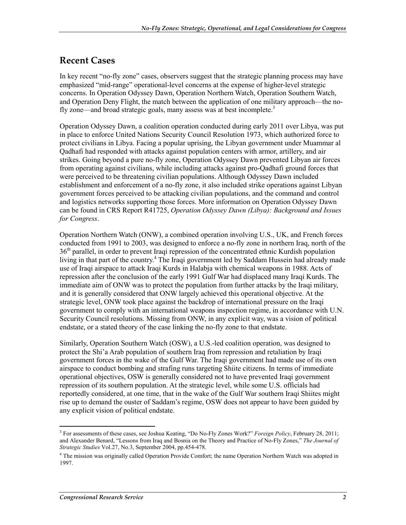#### **Recent Cases**

In key recent "no-fly zone" cases, observers suggest that the strategic planning process may have emphasized "mid-range" operational-level concerns at the expense of higher-level strategic concerns. In Operation Odyssey Dawn, Operation Northern Watch, Operation Southern Watch, and Operation Deny Flight, the match between the application of one military approach—the nofly zone—and broad strategic goals, many assess was at best incomplete.<sup>3</sup>

Operation Odyssey Dawn, a coalition operation conducted during early 2011 over Libya, was put in place to enforce United Nations Security Council Resolution 1973, which authorized force to protect civilians in Libya. Facing a popular uprising, the Libyan government under Muammar al Qadhafi had responded with attacks against population centers with armor, artillery, and air strikes. Going beyond a pure no-fly zone, Operation Odyssey Dawn prevented Libyan air forces from operating against civilians, while including attacks against pro-Qadhafi ground forces that were perceived to be threatening civilian populations. Although Odyssey Dawn included establishment and enforcement of a no-fly zone, it also included strike operations against Libyan government forces perceived to be attacking civilian populations, and the command and control and logistics networks supporting those forces. More information on Operation Odyssey Dawn can be found in CRS Report R41725, *Operation Odyssey Dawn (Libya): Background and Issues for Congress*.

Operation Northern Watch (ONW), a combined operation involving U.S., UK, and French forces conducted from 1991 to 2003, was designed to enforce a no-fly zone in northern Iraq, north of the 36<sup>th</sup> parallel, in order to prevent Iraqi repression of the concentrated ethnic Kurdish population living in that part of the country.<sup>4</sup> The Iraqi government led by Saddam Hussein had already made use of Iraqi airspace to attack Iraqi Kurds in Halabja with chemical weapons in 1988. Acts of repression after the conclusion of the early 1991 Gulf War had displaced many Iraqi Kurds. The immediate aim of ONW was to protect the population from further attacks by the Iraqi military, and it is generally considered that ONW largely achieved this operational objective. At the strategic level, ONW took place against the backdrop of international pressure on the Iraqi government to comply with an international weapons inspection regime, in accordance with U.N. Security Council resolutions. Missing from ONW, in any explicit way, was a vision of political endstate, or a stated theory of the case linking the no-fly zone to that endstate.

Similarly, Operation Southern Watch (OSW), a U.S.-led coalition operation, was designed to protect the Shi'a Arab population of southern Iraq from repression and retaliation by Iraqi government forces in the wake of the Gulf War. The Iraqi government had made use of its own airspace to conduct bombing and strafing runs targeting Shiite citizens. In terms of immediate operational objectives, OSW is generally considered not to have prevented Iraqi government repression of its southern population. At the strategic level, while some U.S. officials had reportedly considered, at one time, that in the wake of the Gulf War southern Iraqi Shiites might rise up to demand the ouster of Saddam's regime, OSW does not appear to have been guided by any explicit vision of political endstate.

1

<sup>&</sup>lt;sup>3</sup> For assessments of these cases, see Joshua Keating, "Do No-Fly Zones Work?" *Foreign Policy*, February 28, 2011; and Alexander Benard, "Lessons from Iraq and Bosnia on the Theory and Practice of No-Fly Zones," *The Journal of Strategic Studies* Vol.27, No.3, September 2004, pp.454-478.

<sup>&</sup>lt;sup>4</sup> The mission was originally called Operation Provide Comfort; the name Operation Northern Watch was adopted in 1997.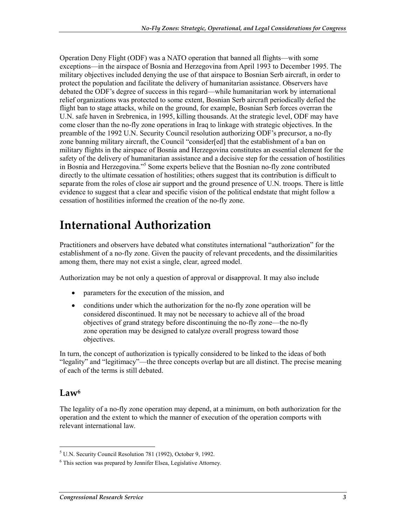Operation Deny Flight (ODF) was a NATO operation that banned all flights—with some exceptions—in the airspace of Bosnia and Herzegovina from April 1993 to December 1995. The military objectives included denying the use of that airspace to Bosnian Serb aircraft, in order to protect the population and facilitate the delivery of humanitarian assistance. Observers have debated the ODF's degree of success in this regard—while humanitarian work by international relief organizations was protected to some extent, Bosnian Serb aircraft periodically defied the flight ban to stage attacks, while on the ground, for example, Bosnian Serb forces overran the U.N. safe haven in Srebrenica, in 1995, killing thousands. At the strategic level, ODF may have come closer than the no-fly zone operations in Iraq to linkage with strategic objectives. In the preamble of the 1992 U.N. Security Council resolution authorizing ODF's precursor, a no-fly zone banning military aircraft, the Council "consider[ed] that the establishment of a ban on military flights in the airspace of Bosnia and Herzegovina constitutes an essential element for the safety of the delivery of humanitarian assistance and a decisive step for the cessation of hostilities in Bosnia and Herzegovina."5 Some experts believe that the Bosnian no-fly zone contributed directly to the ultimate cessation of hostilities; others suggest that its contribution is difficult to separate from the roles of close air support and the ground presence of U.N. troops. There is little evidence to suggest that a clear and specific vision of the political endstate that might follow a cessation of hostilities informed the creation of the no-fly zone.

## **International Authorization**

Practitioners and observers have debated what constitutes international "authorization" for the establishment of a no-fly zone. Given the paucity of relevant precedents, and the dissimilarities among them, there may not exist a single, clear, agreed model.

Authorization may be not only a question of approval or disapproval. It may also include

- parameters for the execution of the mission, and
- conditions under which the authorization for the no-fly zone operation will be considered discontinued. It may not be necessary to achieve all of the broad objectives of grand strategy before discontinuing the no-fly zone—the no-fly zone operation may be designed to catalyze overall progress toward those objectives.

In turn, the concept of authorization is typically considered to be linked to the ideas of both "legality" and "legitimacy"—the three concepts overlap but are all distinct. The precise meaning of each of the terms is still debated.

### $Law<sup>6</sup>$

The legality of a no-fly zone operation may depend, at a minimum, on both authorization for the operation and the extent to which the manner of execution of the operation comports with relevant international law.

 5 U.N. Security Council Resolution 781 (1992), October 9, 1992.

<sup>6</sup> This section was prepared by Jennifer Elsea, Legislative Attorney.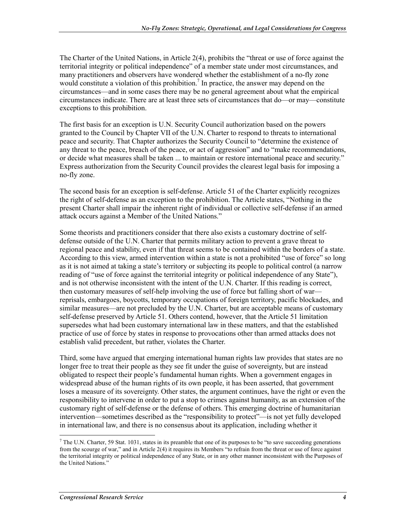The Charter of the United Nations, in Article 2(4), prohibits the "threat or use of force against the territorial integrity or political independence" of a member state under most circumstances, and many practitioners and observers have wondered whether the establishment of a no-fly zone would constitute a violation of this prohibition.<sup>7</sup> In practice, the answer may depend on the circumstances—and in some cases there may be no general agreement about what the empirical circumstances indicate. There are at least three sets of circumstances that do—or may—constitute exceptions to this prohibition.

The first basis for an exception is U.N. Security Council authorization based on the powers granted to the Council by Chapter VII of the U.N. Charter to respond to threats to international peace and security. That Chapter authorizes the Security Council to "determine the existence of any threat to the peace, breach of the peace, or act of aggression" and to "make recommendations, or decide what measures shall be taken ... to maintain or restore international peace and security." Express authorization from the Security Council provides the clearest legal basis for imposing a no-fly zone.

The second basis for an exception is self-defense. Article 51 of the Charter explicitly recognizes the right of self-defense as an exception to the prohibition. The Article states, "Nothing in the present Charter shall impair the inherent right of individual or collective self-defense if an armed attack occurs against a Member of the United Nations."

Some theorists and practitioners consider that there also exists a customary doctrine of selfdefense outside of the U.N. Charter that permits military action to prevent a grave threat to regional peace and stability, even if that threat seems to be contained within the borders of a state. According to this view, armed intervention within a state is not a prohibited "use of force" so long as it is not aimed at taking a state's territory or subjecting its people to political control (a narrow reading of "use of force against the territorial integrity or political independence of any State"), and is not otherwise inconsistent with the intent of the U.N. Charter. If this reading is correct, then customary measures of self-help involving the use of force but falling short of war reprisals, embargoes, boycotts, temporary occupations of foreign territory, pacific blockades, and similar measures—are not precluded by the U.N. Charter, but are acceptable means of customary self-defense preserved by Article 51. Others contend, however, that the Article 51 limitation supersedes what had been customary international law in these matters, and that the established practice of use of force by states in response to provocations other than armed attacks does not establish valid precedent, but rather, violates the Charter.

Third, some have argued that emerging international human rights law provides that states are no longer free to treat their people as they see fit under the guise of sovereignty, but are instead obligated to respect their people's fundamental human rights. When a government engages in widespread abuse of the human rights of its own people, it has been asserted, that government loses a measure of its sovereignty. Other states, the argument continues, have the right or even the responsibility to intervene in order to put a stop to crimes against humanity, as an extension of the customary right of self-defense or the defense of others. This emerging doctrine of humanitarian intervention—sometimes described as the "responsibility to protect"—is not yet fully developed in international law, and there is no consensus about its application, including whether it

1

 $^7$  The U.N. Charter, 59 Stat. 1031, states in its preamble that one of its purposes to be "to save succeeding generations" from the scourge of war," and in Article 2(4) it requires its Members "to refrain from the threat or use of force against the territorial integrity or political independence of any State, or in any other manner inconsistent with the Purposes of the United Nations."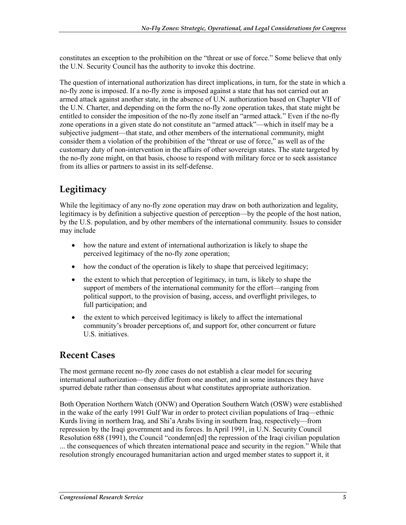constitutes an exception to the prohibition on the "threat or use of force." Some believe that only the U.N. Security Council has the authority to invoke this doctrine.

The question of international authorization has direct implications, in turn, for the state in which a no-fly zone is imposed. If a no-fly zone is imposed against a state that has not carried out an armed attack against another state, in the absence of U.N. authorization based on Chapter VII of the U.N. Charter, and depending on the form the no-fly zone operation takes, that state might be entitled to consider the imposition of the no-fly zone itself an "armed attack." Even if the no-fly zone operations in a given state do not constitute an "armed attack"—which in itself may be a subjective judgment—that state, and other members of the international community, might consider them a violation of the prohibition of the "threat or use of force," as well as of the customary duty of non-intervention in the affairs of other sovereign states. The state targeted by the no-fly zone might, on that basis, choose to respond with military force or to seek assistance from its allies or partners to assist in its self-defense.

### **Legitimacy**

While the legitimacy of any no-fly zone operation may draw on both authorization and legality, legitimacy is by definition a subjective question of perception—by the people of the host nation, by the U.S. population, and by other members of the international community. Issues to consider may include

- how the nature and extent of international authorization is likely to shape the perceived legitimacy of the no-fly zone operation;
- how the conduct of the operation is likely to shape that perceived legitimacy;
- the extent to which that perception of legitimacy, in turn, is likely to shape the support of members of the international community for the effort—ranging from political support, to the provision of basing, access, and overflight privileges, to full participation; and
- the extent to which perceived legitimacy is likely to affect the international community's broader perceptions of, and support for, other concurrent or future U.S. initiatives.

### **Recent Cases**

The most germane recent no-fly zone cases do not establish a clear model for securing international authorization—they differ from one another, and in some instances they have spurred debate rather than consensus about what constitutes appropriate authorization.

Both Operation Northern Watch (ONW) and Operation Southern Watch (OSW) were established in the wake of the early 1991 Gulf War in order to protect civilian populations of Iraq—ethnic Kurds living in northern Iraq, and Shi'a Arabs living in southern Iraq, respectively—from repression by the Iraqi government and its forces. In April 1991, in U.N. Security Council Resolution 688 (1991), the Council "condemn[ed] the repression of the Iraqi civilian population ... the consequences of which threaten international peace and security in the region." While that resolution strongly encouraged humanitarian action and urged member states to support it, it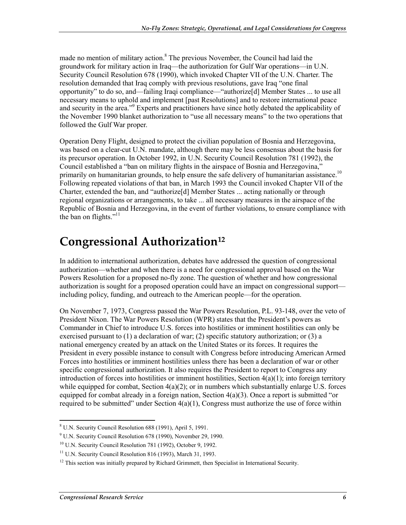made no mention of military action.<sup>8</sup> The previous November, the Council had laid the groundwork for military action in Iraq—the authorization for Gulf War operations—in U.N. Security Council Resolution 678 (1990), which invoked Chapter VII of the U.N. Charter. The resolution demanded that Iraq comply with previous resolutions, gave Iraq "one final opportunity" to do so, and—failing Iraqi compliance—"authorize[d] Member States ... to use all necessary means to uphold and implement [past Resolutions] and to restore international peace and security in the area."<sup>9</sup> Experts and practitioners have since hotly debated the applicability of the November 1990 blanket authorization to "use all necessary means" to the two operations that followed the Gulf War proper.

Operation Deny Flight, designed to protect the civilian population of Bosnia and Herzegovina, was based on a clear-cut U.N. mandate, although there may be less consensus about the basis for its precursor operation. In October 1992, in U.N. Security Council Resolution 781 (1992), the Council established a "ban on military flights in the airspace of Bosnia and Herzegovina," primarily on humanitarian grounds, to help ensure the safe delivery of humanitarian assistance.<sup>10</sup> Following repeated violations of that ban, in March 1993 the Council invoked Chapter VII of the Charter, extended the ban, and "authorize[d] Member States ... acting nationally or through regional organizations or arrangements, to take ... all necessary measures in the airspace of the Republic of Bosnia and Herzegovina, in the event of further violations, to ensure compliance with the ban on flights." $11$ 

## **Congressional Authorization12**

In addition to international authorization, debates have addressed the question of congressional authorization—whether and when there is a need for congressional approval based on the War Powers Resolution for a proposed no-fly zone. The question of whether and how congressional authorization is sought for a proposed operation could have an impact on congressional support including policy, funding, and outreach to the American people—for the operation.

On November 7, 1973, Congress passed the War Powers Resolution, P.L. 93-148, over the veto of President Nixon. The War Powers Resolution (WPR) states that the President's powers as Commander in Chief to introduce U.S. forces into hostilities or imminent hostilities can only be exercised pursuant to (1) a declaration of war; (2) specific statutory authorization; or (3) a national emergency created by an attack on the United States or its forces. It requires the President in every possible instance to consult with Congress before introducing American Armed Forces into hostilities or imminent hostilities unless there has been a declaration of war or other specific congressional authorization. It also requires the President to report to Congress any introduction of forces into hostilities or imminent hostilities, Section  $4(a)(1)$ ; into foreign territory while equipped for combat, Section  $4(a)(2)$ ; or in numbers which substantially enlarge U.S. forces equipped for combat already in a foreign nation, Section  $4(a)(3)$ . Once a report is submitted "or required to be submitted" under Section  $4(a)(1)$ , Congress must authorize the use of force within

<sup>1</sup> 8 U.N. Security Council Resolution 688 (1991), April 5, 1991.

<sup>&</sup>lt;sup>9</sup> U.N. Security Council Resolution 678 (1990), November 29, 1990.

<sup>10</sup> U.N. Security Council Resolution 781 (1992), October 9, 1992.

 $11$  U.N. Security Council Resolution 816 (1993), March 31, 1993.

 $12$  This section was initially prepared by Richard Grimmett, then Specialist in International Security.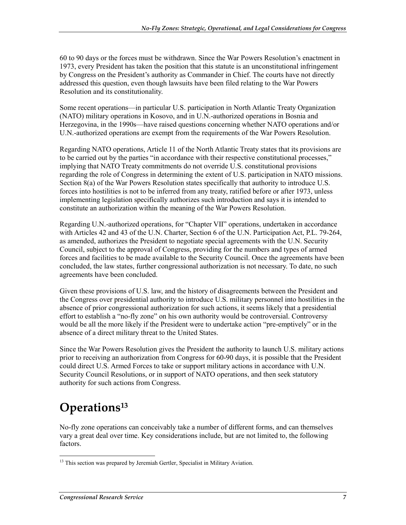60 to 90 days or the forces must be withdrawn. Since the War Powers Resolution's enactment in 1973, every President has taken the position that this statute is an unconstitutional infringement by Congress on the President's authority as Commander in Chief. The courts have not directly addressed this question, even though lawsuits have been filed relating to the War Powers Resolution and its constitutionality.

Some recent operations—in particular U.S. participation in North Atlantic Treaty Organization (NATO) military operations in Kosovo, and in U.N.-authorized operations in Bosnia and Herzegovina, in the 1990s—have raised questions concerning whether NATO operations and/or U.N.-authorized operations are exempt from the requirements of the War Powers Resolution.

Regarding NATO operations, Article 11 of the North Atlantic Treaty states that its provisions are to be carried out by the parties "in accordance with their respective constitutional processes," implying that NATO Treaty commitments do not override U.S. constitutional provisions regarding the role of Congress in determining the extent of U.S. participation in NATO missions. Section 8(a) of the War Powers Resolution states specifically that authority to introduce U.S. forces into hostilities is not to be inferred from any treaty, ratified before or after 1973, unless implementing legislation specifically authorizes such introduction and says it is intended to constitute an authorization within the meaning of the War Powers Resolution.

Regarding U.N.-authorized operations, for "Chapter VII" operations, undertaken in accordance with Articles 42 and 43 of the U.N. Charter, Section 6 of the U.N. Participation Act, P.L. 79-264, as amended, authorizes the President to negotiate special agreements with the U.N. Security Council, subject to the approval of Congress, providing for the numbers and types of armed forces and facilities to be made available to the Security Council. Once the agreements have been concluded, the law states, further congressional authorization is not necessary. To date, no such agreements have been concluded.

Given these provisions of U.S. law, and the history of disagreements between the President and the Congress over presidential authority to introduce U.S. military personnel into hostilities in the absence of prior congressional authorization for such actions, it seems likely that a presidential effort to establish a "no-fly zone" on his own authority would be controversial. Controversy would be all the more likely if the President were to undertake action "pre-emptively" or in the absence of a direct military threat to the United States.

Since the War Powers Resolution gives the President the authority to launch U.S. military actions prior to receiving an authorization from Congress for 60-90 days, it is possible that the President could direct U.S. Armed Forces to take or support military actions in accordance with U.N. Security Council Resolutions, or in support of NATO operations, and then seek statutory authority for such actions from Congress.

## **Operations13**

No-fly zone operations can conceivably take a number of different forms, and can themselves vary a great deal over time. Key considerations include, but are not limited to, the following factors.

<sup>&</sup>lt;u>.</u> <sup>13</sup> This section was prepared by Jeremiah Gertler, Specialist in Military Aviation.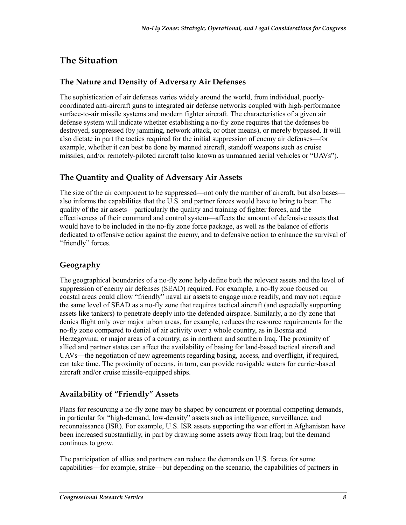## **The Situation**

#### **The Nature and Density of Adversary Air Defenses**

The sophistication of air defenses varies widely around the world, from individual, poorlycoordinated anti-aircraft guns to integrated air defense networks coupled with high-performance surface-to-air missile systems and modern fighter aircraft. The characteristics of a given air defense system will indicate whether establishing a no-fly zone requires that the defenses be destroyed, suppressed (by jamming, network attack, or other means), or merely bypassed. It will also dictate in part the tactics required for the initial suppression of enemy air defenses—for example, whether it can best be done by manned aircraft, standoff weapons such as cruise missiles, and/or remotely-piloted aircraft (also known as unmanned aerial vehicles or "UAVs").

#### **The Quantity and Quality of Adversary Air Assets**

The size of the air component to be suppressed—not only the number of aircraft, but also bases also informs the capabilities that the U.S. and partner forces would have to bring to bear. The quality of the air assets—particularly the quality and training of fighter forces, and the effectiveness of their command and control system—affects the amount of defensive assets that would have to be included in the no-fly zone force package, as well as the balance of efforts dedicated to offensive action against the enemy, and to defensive action to enhance the survival of "friendly" forces.

#### **Geography**

The geographical boundaries of a no-fly zone help define both the relevant assets and the level of suppression of enemy air defenses (SEAD) required. For example, a no-fly zone focused on coastal areas could allow "friendly" naval air assets to engage more readily, and may not require the same level of SEAD as a no-fly zone that requires tactical aircraft (and especially supporting assets like tankers) to penetrate deeply into the defended airspace. Similarly, a no-fly zone that denies flight only over major urban areas, for example, reduces the resource requirements for the no-fly zone compared to denial of air activity over a whole country, as in Bosnia and Herzegovina; or major areas of a country, as in northern and southern Iraq. The proximity of allied and partner states can affect the availability of basing for land-based tactical aircraft and UAVs—the negotiation of new agreements regarding basing, access, and overflight, if required, can take time. The proximity of oceans, in turn, can provide navigable waters for carrier-based aircraft and/or cruise missile-equipped ships.

#### **Availability of "Friendly" Assets**

Plans for resourcing a no-fly zone may be shaped by concurrent or potential competing demands, in particular for "high-demand, low-density" assets such as intelligence, surveillance, and reconnaissance (ISR). For example, U.S. ISR assets supporting the war effort in Afghanistan have been increased substantially, in part by drawing some assets away from Iraq; but the demand continues to grow.

The participation of allies and partners can reduce the demands on U.S. forces for some capabilities—for example, strike—but depending on the scenario, the capabilities of partners in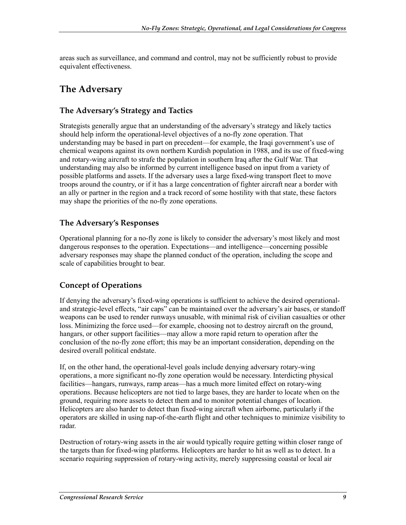areas such as surveillance, and command and control, may not be sufficiently robust to provide equivalent effectiveness.

## **The Adversary**

#### **The Adversary's Strategy and Tactics**

Strategists generally argue that an understanding of the adversary's strategy and likely tactics should help inform the operational-level objectives of a no-fly zone operation. That understanding may be based in part on precedent—for example, the Iraqi government's use of chemical weapons against its own northern Kurdish population in 1988, and its use of fixed-wing and rotary-wing aircraft to strafe the population in southern Iraq after the Gulf War. That understanding may also be informed by current intelligence based on input from a variety of possible platforms and assets. If the adversary uses a large fixed-wing transport fleet to move troops around the country, or if it has a large concentration of fighter aircraft near a border with an ally or partner in the region and a track record of some hostility with that state, these factors may shape the priorities of the no-fly zone operations.

#### **The Adversary's Responses**

Operational planning for a no-fly zone is likely to consider the adversary's most likely and most dangerous responses to the operation. Expectations—and intelligence—concerning possible adversary responses may shape the planned conduct of the operation, including the scope and scale of capabilities brought to bear.

#### **Concept of Operations**

If denying the adversary's fixed-wing operations is sufficient to achieve the desired operationaland strategic-level effects, "air caps" can be maintained over the adversary's air bases, or standoff weapons can be used to render runways unusable, with minimal risk of civilian casualties or other loss. Minimizing the force used—for example, choosing not to destroy aircraft on the ground, hangars, or other support facilities—may allow a more rapid return to operation after the conclusion of the no-fly zone effort; this may be an important consideration, depending on the desired overall political endstate.

If, on the other hand, the operational-level goals include denying adversary rotary-wing operations, a more significant no-fly zone operation would be necessary. Interdicting physical facilities—hangars, runways, ramp areas—has a much more limited effect on rotary-wing operations. Because helicopters are not tied to large bases, they are harder to locate when on the ground, requiring more assets to detect them and to monitor potential changes of location. Helicopters are also harder to detect than fixed-wing aircraft when airborne, particularly if the operators are skilled in using nap-of-the-earth flight and other techniques to minimize visibility to radar.

Destruction of rotary-wing assets in the air would typically require getting within closer range of the targets than for fixed-wing platforms. Helicopters are harder to hit as well as to detect. In a scenario requiring suppression of rotary-wing activity, merely suppressing coastal or local air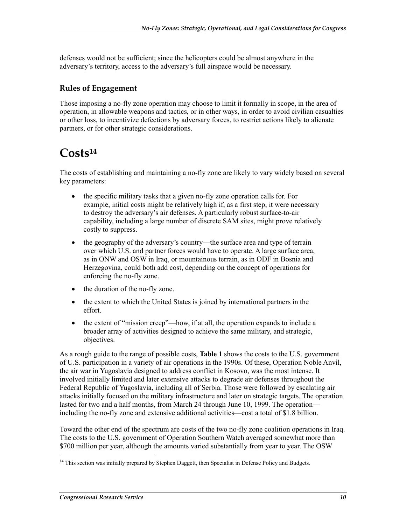defenses would not be sufficient; since the helicopters could be almost anywhere in the adversary's territory, access to the adversary's full airspace would be necessary.

#### **Rules of Engagement**

Those imposing a no-fly zone operation may choose to limit it formally in scope, in the area of operation, in allowable weapons and tactics, or in other ways, in order to avoid civilian casualties or other loss, to incentivize defections by adversary forces, to restrict actions likely to alienate partners, or for other strategic considerations.

## **Costs14**

The costs of establishing and maintaining a no-fly zone are likely to vary widely based on several key parameters:

- the specific military tasks that a given no-fly zone operation calls for. For example, initial costs might be relatively high if, as a first step, it were necessary to destroy the adversary's air defenses. A particularly robust surface-to-air capability, including a large number of discrete SAM sites, might prove relatively costly to suppress.
- the geography of the adversary's country—the surface area and type of terrain over which U.S. and partner forces would have to operate. A large surface area, as in ONW and OSW in Iraq, or mountainous terrain, as in ODF in Bosnia and Herzegovina, could both add cost, depending on the concept of operations for enforcing the no-fly zone.
- the duration of the no-fly zone.
- the extent to which the United States is joined by international partners in the effort.
- the extent of "mission creep"—how, if at all, the operation expands to include a broader array of activities designed to achieve the same military, and strategic, objectives.

As a rough guide to the range of possible costs, **Table 1** shows the costs to the U.S. government of U.S. participation in a variety of air operations in the 1990s. Of these, Operation Noble Anvil, the air war in Yugoslavia designed to address conflict in Kosovo, was the most intense. It involved initially limited and later extensive attacks to degrade air defenses throughout the Federal Republic of Yugoslavia, including all of Serbia. Those were followed by escalating air attacks initially focused on the military infrastructure and later on strategic targets. The operation lasted for two and a half months, from March 24 through June 10, 1999. The operation including the no-fly zone and extensive additional activities—cost a total of \$1.8 billion.

Toward the other end of the spectrum are costs of the two no-fly zone coalition operations in Iraq. The costs to the U.S. government of Operation Southern Watch averaged somewhat more than \$700 million per year, although the amounts varied substantially from year to year. The OSW

<u>.</u>

<sup>&</sup>lt;sup>14</sup> This section was initially prepared by Stephen Daggett, then Specialist in Defense Policy and Budgets.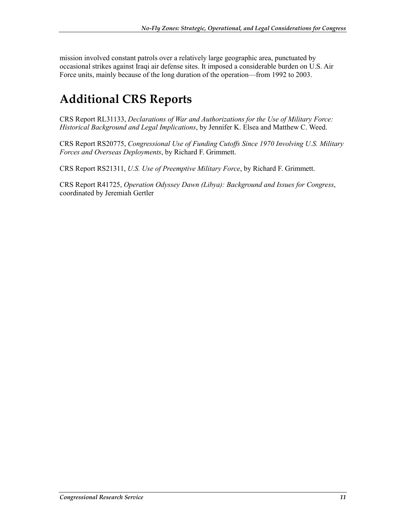mission involved constant patrols over a relatively large geographic area, punctuated by occasional strikes against Iraqi air defense sites. It imposed a considerable burden on U.S. Air Force units, mainly because of the long duration of the operation—from 1992 to 2003.

## **Additional CRS Reports**

CRS Report RL31133, *Declarations of War and Authorizations for the Use of Military Force: Historical Background and Legal Implications*, by Jennifer K. Elsea and Matthew C. Weed.

CRS Report RS20775, *Congressional Use of Funding Cutoffs Since 1970 Involving U.S. Military Forces and Overseas Deployments*, by Richard F. Grimmett.

CRS Report RS21311, *U.S. Use of Preemptive Military Force*, by Richard F. Grimmett.

CRS Report R41725, *Operation Odyssey Dawn (Libya): Background and Issues for Congress*, coordinated by Jeremiah Gertler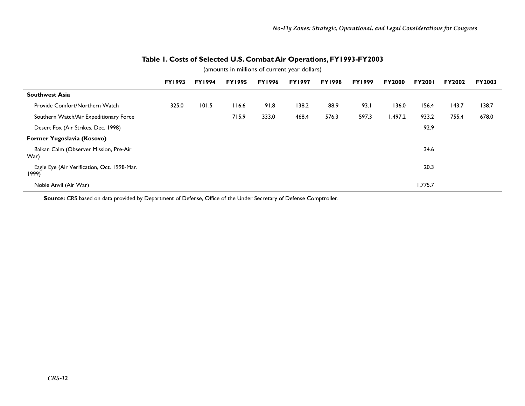| (amounts in millions of current year dollars)        |               |               |               |               |               |               |               |               |               |        |               |
|------------------------------------------------------|---------------|---------------|---------------|---------------|---------------|---------------|---------------|---------------|---------------|--------|---------------|
|                                                      | <b>FY1993</b> | <b>FY1994</b> | <b>FY1995</b> | <b>FY1996</b> | <b>FY1997</b> | <b>FY1998</b> | <b>FY1999</b> | <b>FY2000</b> | <b>FY2001</b> | FY2002 | <b>FY2003</b> |
| <b>Southwest Asia</b>                                |               |               |               |               |               |               |               |               |               |        |               |
| Provide Comfort/Northern Watch                       | 325.0         | 101.5         | 116.6         | 91.8          | 138.2         | 88.9          | 93.1          | 136.0         | 156.4         | 143.7  | 138.7         |
| Southern Watch/Air Expeditionary Force               |               |               | 715.9         | 333.0         | 468.4         | 576.3         | 597.3         | 1,497.2       | 933.2         | 755.4  | 678.0         |
| Desert Fox (Air Strikes, Dec. 1998)                  |               |               |               |               |               |               |               |               | 92.9          |        |               |
| Former Yugoslavia (Kosovo)                           |               |               |               |               |               |               |               |               |               |        |               |
| Balkan Calm (Observer Mission, Pre-Air<br>War)       |               |               |               |               |               |               |               |               | 34.6          |        |               |
| Eagle Eye (Air Verification, Oct. 1998-Mar.<br>1999) |               |               |               |               |               |               |               |               | 20.3          |        |               |
| Noble Anvil (Air War)                                |               |               |               |               |               |               |               |               | 1,775.7       |        |               |

#### **Table 1. Costs of Selected U.S. Combat Air Operations, FY1993-FY2003**

**Source:** CRS based on data provided by Department of Defense, Office of the Under Secretary of Defense Comptroller.